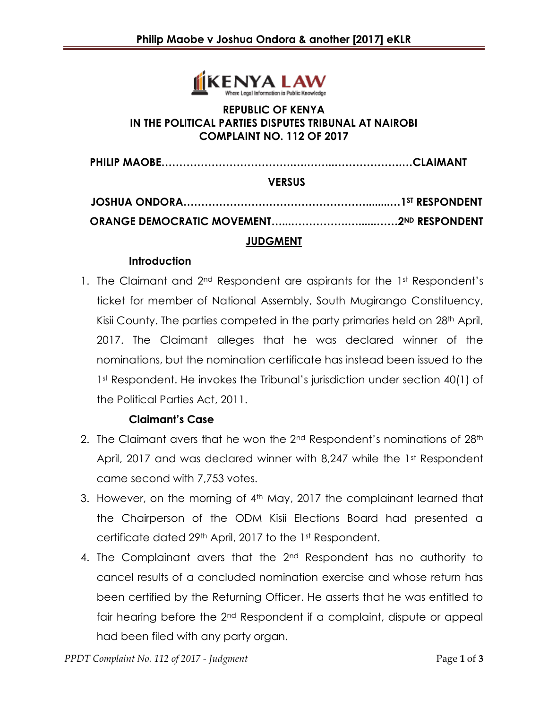

## **REPUBLIC OF KENYA IN THE POLITICAL PARTIES DISPUTES TRIBUNAL AT NAIROBI COMPLAINT NO. 112 OF 2017**

| <b>VERSUS</b>   |  |
|-----------------|--|
|                 |  |
|                 |  |
| <b>JUDGMENT</b> |  |

## **Introduction**

1. The Claimant and 2<sup>nd</sup> Respondent are aspirants for the 1st Respondent's ticket for member of National Assembly, South Mugirango Constituency, Kisii County. The parties competed in the party primaries held on 28<sup>th</sup> April, 2017. The Claimant alleges that he was declared winner of the nominations, but the nomination certificate has instead been issued to the 1<sup>st</sup> Respondent. He invokes the Tribunal's jurisdiction under section 40(1) of the Political Parties Act, 2011.

## **Claimant's Case**

- 2. The Claimant avers that he won the  $2^{nd}$  Respondent's nominations of  $28<sup>th</sup>$ April, 2017 and was declared winner with 8,247 while the 1st Respondent came second with 7,753 votes.
- 3. However, on the morning of  $4<sup>th</sup>$  May, 2017 the complainant learned that the Chairperson of the ODM Kisii Elections Board had presented a certificate dated 29<sup>th</sup> April, 2017 to the 1<sup>st</sup> Respondent.
- 4. The Complainant avers that the 2<sup>nd</sup> Respondent has no authority to cancel results of a concluded nomination exercise and whose return has been certified by the Returning Officer. He asserts that he was entitled to fair hearing before the 2<sup>nd</sup> Respondent if a complaint, dispute or appeal had been filed with any party organ.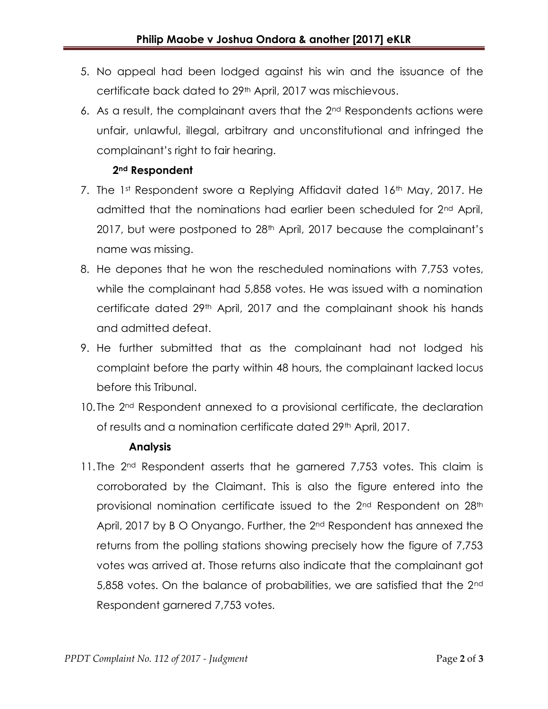- 5. No appeal had been lodged against his win and the issuance of the certificate back dated to 29th April, 2017 was mischievous.
- 6. As a result, the complainant avers that the 2nd Respondents actions were unfair, unlawful, illegal, arbitrary and unconstitutional and infringed the complainant's right to fair hearing.

# **2nd Respondent**

- 7. The 1st Respondent swore a Replying Affidavit dated 16<sup>th</sup> May, 2017. He admitted that the nominations had earlier been scheduled for 2<sup>nd</sup> April, 2017, but were postponed to 28<sup>th</sup> April, 2017 because the complainant's name was missing.
- 8. He depones that he won the rescheduled nominations with 7,753 votes, while the complainant had 5,858 votes. He was issued with a nomination certificate dated 29th April, 2017 and the complainant shook his hands and admitted defeat.
- 9. He further submitted that as the complainant had not lodged his complaint before the party within 48 hours, the complainant lacked locus before this Tribunal.
- 10. The 2<sup>nd</sup> Respondent annexed to a provisional certificate, the declaration of results and a nomination certificate dated 29<sup>th</sup> April, 2017.

## **Analysis**

11. The 2<sup>nd</sup> Respondent asserts that he garnered 7,753 votes. This claim is corroborated by the Claimant. This is also the figure entered into the provisional nomination certificate issued to the 2<sup>nd</sup> Respondent on 28<sup>th</sup> April, 2017 by B O Onyango. Further, the 2<sup>nd</sup> Respondent has annexed the returns from the polling stations showing precisely how the figure of 7,753 votes was arrived at. Those returns also indicate that the complainant got 5,858 votes. On the balance of probabilities, we are satisfied that the 2nd Respondent garnered 7,753 votes.